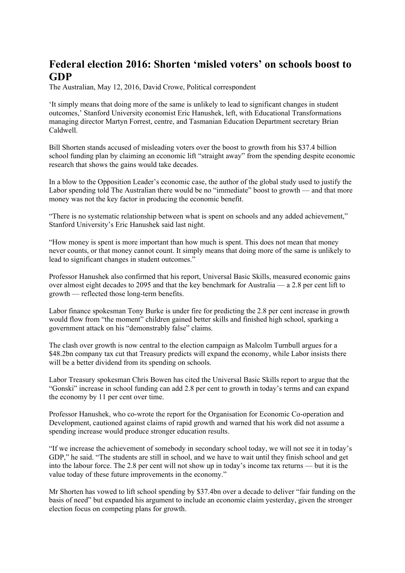## **Federal election 2016: Shorten 'misled voters' on schools boost to GDP**

The Australian, May 12, 2016, David Crowe, Political correspondent

'It simply means that doing more of the same is unlikely to lead to significant changes in student outcomes,' Stanford University economist Eric Hanushek, left, with Educational Transformations managing director Martyn Forrest, centre, and Tasmanian Education Department secretary Brian Caldwell.

Bill Shorten stands accused of misleading voters over the boost to growth from his \$37.4 billion school funding plan by claiming an economic lift "straight away" from the spending despite economic research that shows the gains would take decades.

In a blow to the Opposition Leader's economic case, the author of the global study used to justify the Labor spending told The Australian there would be no "immediate" boost to growth — and that more money was not the key factor in producing the economic benefit.

"There is no systematic relationship between what is spent on schools and any added achievement," Stanford University's Eric Hanushek said last night.

"How money is spent is more important than how much is spent. This does not mean that money never counts, or that money cannot count. It simply means that doing more of the same is unlikely to lead to significant changes in student outcomes."

Professor Hanushek also confirmed that his report, Universal Basic Skills, measured economic gains over almost eight decades to 2095 and that the key benchmark for Australia — a 2.8 per cent lift to growth — reflected those long-term benefits.

Labor finance spokesman Tony Burke is under fire for predicting the 2.8 per cent increase in growth would flow from "the moment" children gained better skills and finished high school, sparking a government attack on his "demonstrably false" claims.

The clash over growth is now central to the election campaign as Malcolm Turnbull argues for a \$48.2bn company tax cut that Treasury predicts will expand the economy, while Labor insists there will be a better dividend from its spending on schools.

Labor Treasury spokesman Chris Bowen has cited the Universal Basic Skills report to argue that the "Gonski" increase in school funding can add 2.8 per cent to growth in today's terms and can expand the economy by 11 per cent over time.

Professor Hanushek, who co-wrote the report for the Organisation for Economic Co-operation and Development, cautioned against claims of rapid growth and warned that his work did not assume a spending increase would produce stronger education results.

"If we increase the achievement of somebody in secondary school today, we will not see it in today's GDP," he said. "The students are still in school, and we have to wait until they finish school and get into the labour force. The 2.8 per cent will not show up in today's income tax returns — but it is the value today of these future improvements in the economy."

Mr Shorten has vowed to lift school spending by \$37.4bn over a decade to deliver "fair funding on the basis of need" but expanded his argument to include an economic claim yesterday, given the stronger election focus on competing plans for growth.